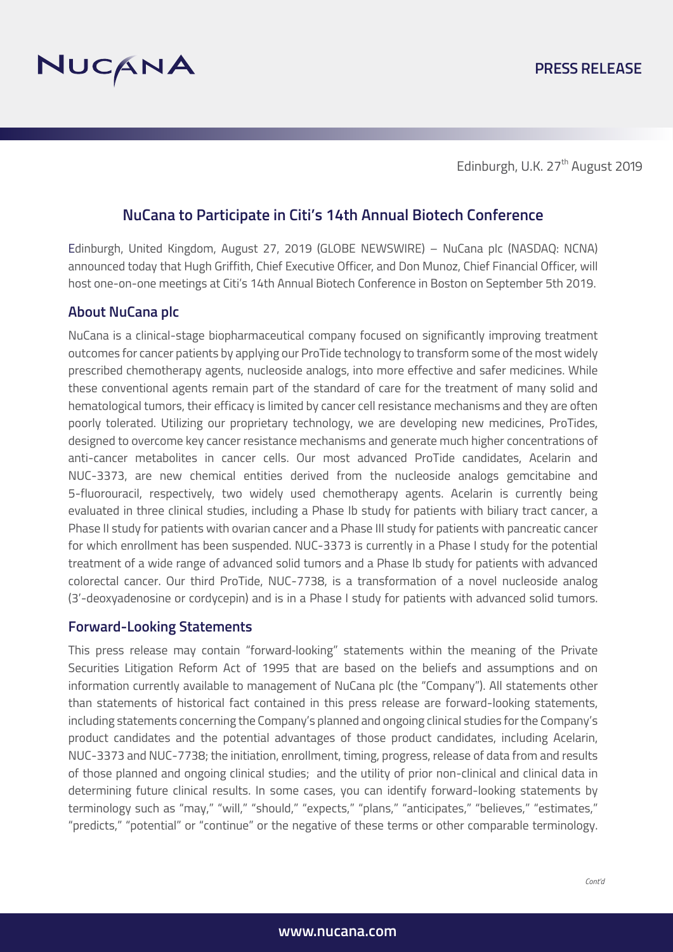

Edinburgh, U.K. 27<sup>th</sup> August 2019

# **NuCana to Participate in Citi's 14th Annual Biotech Conference**

Edinburgh, United Kingdom, August 27, 2019 (GLOBE NEWSWIRE) – NuCana plc (NASDAQ: NCNA) announced today that Hugh Griffith, Chief Executive Officer, and Don Munoz, Chief Financial Officer, will host one-on-one meetings at Citi's 14th Annual Biotech Conference in Boston on September 5th 2019.

### **About NuCana plc**

NuCana is a clinical-stage biopharmaceutical company focused on significantly improving treatment outcomes for cancer patients by applying our ProTide technology to transform some of the most widely prescribed chemotherapy agents, nucleoside analogs, into more effective and safer medicines. While these conventional agents remain part of the standard of care for the treatment of many solid and hematological tumors, their efficacy is limited by cancer cell resistance mechanisms and they are often poorly tolerated. Utilizing our proprietary technology, we are developing new medicines, ProTides, designed to overcome key cancer resistance mechanisms and generate much higher concentrations of anti-cancer metabolites in cancer cells. Our most advanced ProTide candidates, Acelarin and NUC-3373, are new chemical entities derived from the nucleoside analogs gemcitabine and 5-fluorouracil, respectively, two widely used chemotherapy agents. Acelarin is currently being evaluated in three clinical studies, including a Phase Ib study for patients with biliary tract cancer, a Phase II study for patients with ovarian cancer and a Phase III study for patients with pancreatic cancer for which enrollment has been suspended. NUC-3373 is currently in a Phase I study for the potential treatment of a wide range of advanced solid tumors and a Phase Ib study for patients with advanced colorectal cancer. Our third ProTide, NUC-7738, is a transformation of a novel nucleoside analog (3'-deoxyadenosine or cordycepin) and is in a Phase I study for patients with advanced solid tumors.

#### **Forward-Looking Statements**

This press release may contain "forward‐looking" statements within the meaning of the Private Securities Litigation Reform Act of 1995 that are based on the beliefs and assumptions and on information currently available to management of NuCana plc (the "Company"). All statements other than statements of historical fact contained in this press release are forward-looking statements, including statements concerning the Company's planned and ongoing clinical studies for the Company's product candidates and the potential advantages of those product candidates, including Acelarin, NUC-3373 and NUC-7738; the initiation, enrollment, timing, progress, release of data from and results of those planned and ongoing clinical studies; and the utility of prior non-clinical and clinical data in determining future clinical results. In some cases, you can identify forward-looking statements by terminology such as "may," "will," "should," "expects," "plans," "anticipates," "believes," "estimates," "predicts," "potential" or "continue" or the negative of these terms or other comparable terminology.